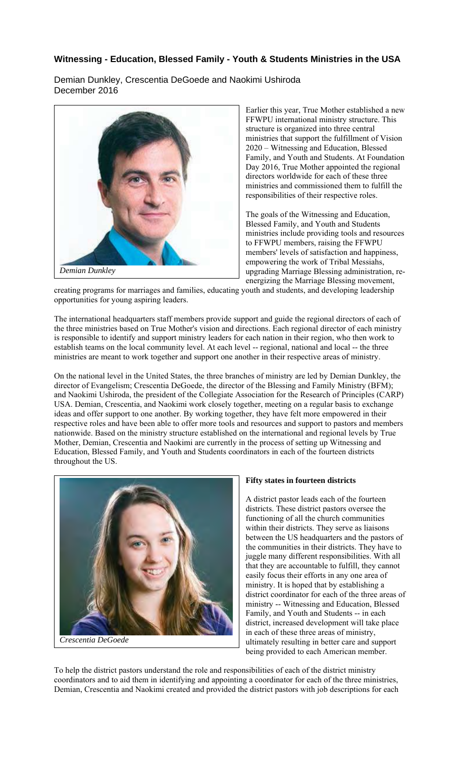## **Witnessing - Education, Blessed Family - Youth & Students Ministries in the USA**

Demian Dunkley, Crescentia DeGoede and Naokimi Ushiroda December 2016



Earlier this year, True Mother established a new FFWPU international ministry structure. This structure is organized into three central ministries that support the fulfillment of Vision 2020 – Witnessing and Education, Blessed Family, and Youth and Students. At Foundation Day 2016, True Mother appointed the regional directors worldwide for each of these three ministries and commissioned them to fulfill the responsibilities of their respective roles.

The goals of the Witnessing and Education, Blessed Family, and Youth and Students ministries include providing tools and resources to FFWPU members, raising the FFWPU members' levels of satisfaction and happiness, empowering the work of Tribal Messiahs, upgrading Marriage Blessing administration, reenergizing the Marriage Blessing movement,

creating programs for marriages and families, educating youth and students, and developing leadership opportunities for young aspiring leaders.

The international headquarters staff members provide support and guide the regional directors of each of the three ministries based on True Mother's vision and directions. Each regional director of each ministry is responsible to identify and support ministry leaders for each nation in their region, who then work to establish teams on the local community level. At each level -- regional, national and local -- the three ministries are meant to work together and support one another in their respective areas of ministry.

On the national level in the United States, the three branches of ministry are led by Demian Dunkley, the director of Evangelism; Crescentia DeGoede, the director of the Blessing and Family Ministry (BFM); and Naokimi Ushiroda, the president of the Collegiate Association for the Research of Principles (CARP) USA. Demian, Crescentia, and Naokimi work closely together, meeting on a regular basis to exchange ideas and offer support to one another. By working together, they have felt more empowered in their respective roles and have been able to offer more tools and resources and support to pastors and members nationwide. Based on the ministry structure established on the international and regional levels by True Mother, Demian, Crescentia and Naokimi are currently in the process of setting up Witnessing and Education, Blessed Family, and Youth and Students coordinators in each of the fourteen districts throughout the US.



**Fifty states in fourteen districts** 

A district pastor leads each of the fourteen districts. These district pastors oversee the functioning of all the church communities within their districts. They serve as liaisons between the US headquarters and the pastors of the communities in their districts. They have to juggle many different responsibilities. With all that they are accountable to fulfill, they cannot easily focus their efforts in any one area of ministry. It is hoped that by establishing a district coordinator for each of the three areas of ministry -- Witnessing and Education, Blessed Family, and Youth and Students -- in each district, increased development will take place in each of these three areas of ministry, ultimately resulting in better care and support being provided to each American member.

To help the district pastors understand the role and responsibilities of each of the district ministry coordinators and to aid them in identifying and appointing a coordinator for each of the three ministries, Demian, Crescentia and Naokimi created and provided the district pastors with job descriptions for each